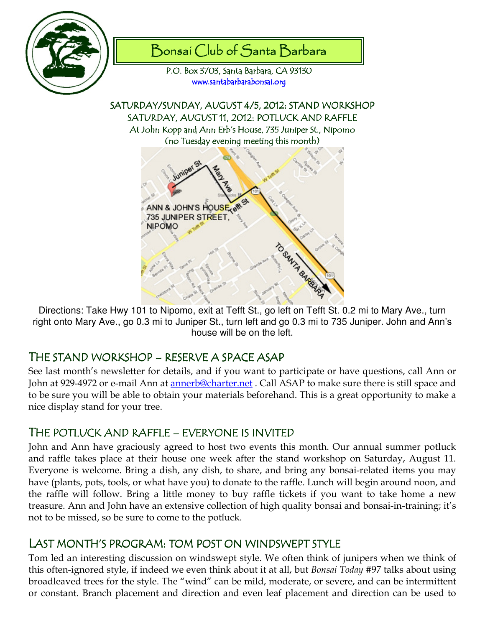



P.O. Box 3703, Santa Barbara, CA 93130 www.santabarbarabonsai.org

SATURDAY/SUNDAY, AUGUST 4/5, 2012: STAND WORKSHOP SATURDAY, AUGUST 11, 2012: POTLUCK AND RAFFLE At John Kopp and Ann Erb's House, 735 Juniper St., Nipomo (no Tuesday evening meeting this month)



Directions: Take Hwy 101 to Nipomo, exit at Tefft St., go left on Tefft St. 0.2 mi to Mary Ave., turn right onto Mary Ave., go 0.3 mi to Juniper St., turn left and go 0.3 mi to 735 Juniper. John and Ann's house will be on the left.

## THE STAND WORKSHOP – RESERVE A SPACE ASAP

See last month's newsletter for details, and if you want to participate or have questions, call Ann or John at 929-4972 or e-mail Ann at annerb@charter.net . Call ASAP to make sure there is still space and to be sure you will be able to obtain your materials beforehand. This is a great opportunity to make a nice display stand for your tree.

# THE POTLUCK AND RAFFLE – EVERYONE IS INVITED

John and Ann have graciously agreed to host two events this month. Our annual summer potluck and raffle takes place at their house one week after the stand workshop on Saturday, August 11. Everyone is welcome. Bring a dish, any dish, to share, and bring any bonsai-related items you may have (plants, pots, tools, or what have you) to donate to the raffle. Lunch will begin around noon, and the raffle will follow. Bring a little money to buy raffle tickets if you want to take home a new treasure. Ann and John have an extensive collection of high quality bonsai and bonsai-in-training; it's not to be missed, so be sure to come to the potluck.

## LAST MONTH'S PROGRAM: TOM POST ON WINDSWEPT STYLE

Tom led an interesting discussion on windswept style. We often think of junipers when we think of this often-ignored style, if indeed we even think about it at all, but Bonsai Today #97 talks about using broadleaved trees for the style. The "wind" can be mild, moderate, or severe, and can be intermittent or constant. Branch placement and direction and even leaf placement and direction can be used to